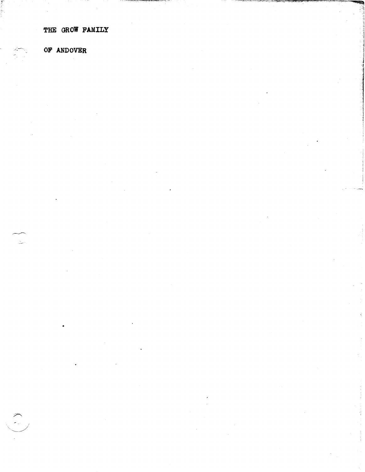THE GROW FAMILY

OF ANDOVER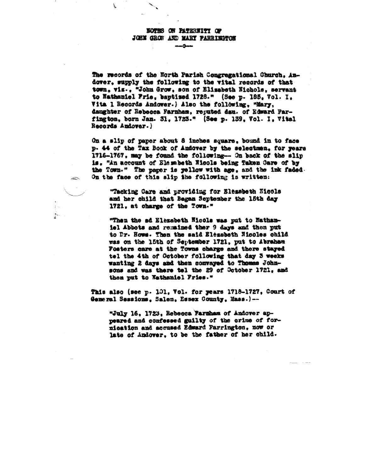## **NOTIG ON PATERITY OF JOHN GROW AND MARY PARRINGTON**

The records of the North Parish Congregational Church, Andover, supply the following to the vital records of that town, vis., "John Grow, son of Elisabeth Nichols, servant to Nathaniel Frie, baptized 1728." (See p. 185, Vol. I. Vita 1 Records Andower.) Also the following, "Mary, daughter of Eebecca Farnham, reputed dan. of Edward Parfington, born Jan. 31, 1723." (See p. 139, Vol. I, Vital Records Andover.)

On a slip of paper about 8 inches square, bound in to face p. 44 of the Tax Book of Andover by the selectmen, for years 1716-1767, may be found the following-- On back of the slip is. "An account of Elembeth Wiscle being Taken Care of by the Town." The paper is yellow with age, and the ink faded. On the face of this slip ihe following is written:

"Tacking Care and providing for Elemebeth Eicols and her child that Began September the 15th day 1721, at charge of the Town."

"Then the ad Elezabeth Nicols was put to Nathaniel Abbots and remained ther 9 days and then put to Dr. Hows. Then the said Elegabeth Nicoles child was on the 15th of September 1721, put to Abraham Fosters care at the Towns charge and there stayed tel the 4th of October following that day 3 weeks wanting 2 days and then convayed to Thomas Johnsons and was there tel the 29 of October 1721, and then put to Nathaniel Fries."

This also (see p. 101, Vol. for years 1718-1727, Court of General Sessions. Salem. Essex County, Mass.)--

"July 16, 1723, Rebecca Farnham of Andover appeared and confessed guilty of the crime of fornication and accused Edward Farrington, now or late of Andover, to be the father of her child.

 $\approx$ 

 $\mathcal{L}_{\mathcal{A}}$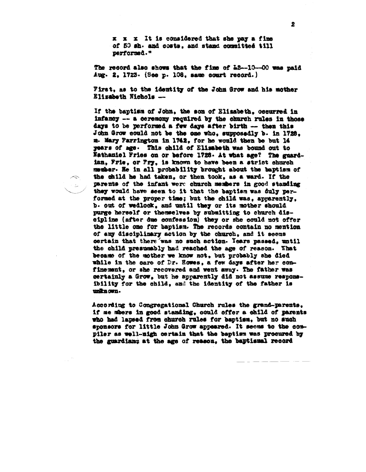x x x It is considered that she way a fine of 50 sh. and costs. and stand committed till performed."

The record also shows that the fine of 12-10-00 was paid Aug. 2. 1723. (See p. 108. same court record.)

First, as to the identity of the John Grow and his mother Elizabeth Nichols --

If the baptism of John, the son of Elisabeth, occurred in infancy -- a ceremony required by the charch rules in those days to be performed a few days after birth -- then this John Grow could not be the one who, supposadly b. in 1728. m. Mary Parrington in 1742, for he would then be but 14 years of age. This child of Elimabeth was bound out to Nathaniel Fries on or before 1728. At what age? The guardian, Frie, or Pry, is known to have been a strict church member. He in all probability brought about the baptism of the child he had taken, or then took, as a ward. If the parents of the infant were charch members in good standing they would have seen to it that the baptism was duly performed at the proper time; but the child was, apparently. b. out of wedlock, and until they or its mother should purge herself or themselves by submitting to church disoipline (after due confession) they or she could not offer the little one for baptism. The records contain no mention of any disciplinary action by the church, and it seems certain that there was no such action. Years passed, until the child presumably had reached the age of reason. What became of the mother we know not, but probably she died while in the care of Dr. Howes, a few days after her confinement, or she recovered and went away. The father was certainly a Grow, but he apparently did not assume responsibility for the child, and the identity of the father is unita own.

 $\sim$ 

 $\sim$   $\sim$ 

According to Congregational Church rules the grand-parents. if me mbers in good standing, could offer a child of parents who had lapsed from church rules for baptism, but no such sponsors for little John Grow appeared. It seems to the compiler as well-nigh certain that the baptism was procured by the guardians at the age of reason, the baptismal record

 $\ddot{z}$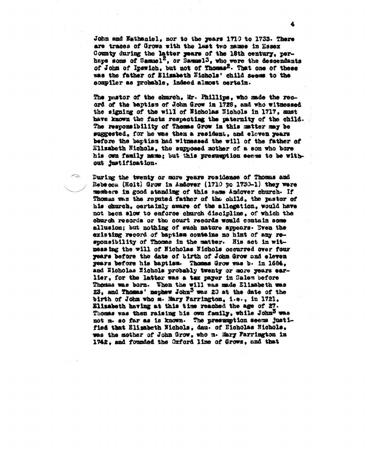John and Eathaniel, nor to the years 1710 to 1733. There are traces of Grows with the last two names in Essex County during the latter years of the 18th century, perhaps some of Samuel<sup>2</sup>, or Samuel<sup>3</sup>, who were the descendants of John of Ipswich, but not of Thomas<sup>2</sup>. That one of these was the father of Elizabeth Nichols' child seems to the sompiler as probable, indeed almost certain.

The pastor of the church, Mr. Phillips, who made the record of the baptism of John Grow in 1728, and who witnessed the signing of the will of Wicholas Nichols in 1717, must have known the facts respecting the paternity of the child. The responsibility of Thomas Grow in this matter may be suggested, for he was then a resident, and eleven years before the baptism had witnessed the will of the father of Elizabeth Nichols, the supposed mother of a son who bore his own family mame; but this presumption seems to be without justification.

 $\sim$ 

During the twenty or more years residence of Thomas and Rebecca (Holt) Grow in Andover (1710 to 1730-1) they were members in good atanding of this same Andover church. If Thomas was the reputed father of the child, the pastor of his church, certainly aware of the allegation, would have not been slow to enforce church discipline, of which the chargh records or the court records would contain some allusion; but nothing of such nature appears. Byen the existing record of baptism contains no hint of any responsibility of Thomas in the matter. His set in witmessing the will of Nicholas Nichols occurred over four years before the date of birth of John Grow and eleven years before his baptism. Thomas Grow was b. in 1684. and Nicholas Nichols probably twenty or more years earlier, for the latter was a tax payer in Salem before Thosas was born. Then the will was made Elisabeth was 23, and Thomas' nephew John<sup>3</sup> was 20 at the date of the birth of John who m. Mary Farrington, i.e., in 1721, Elizabeth having at this time reached the age of 27. Thomas was then raising his own family, while John<sup>3</sup> was not m. so far as is known. The presumption seems justified that Elisabeth Nichols, dau. of Nicholas Nichols, was the mother of John Grow, who m. Mary Farrington in 1742, and founded the Orford line of Grows, and that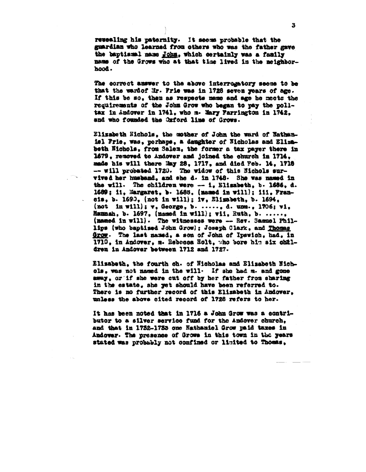resealing his paternity. It seems probable that the guardian who learned from others who was the father gave the baptismal mame John, which certainly was a family name of the Grows who at that time lived in the meighborhood.

The correct answer to the above interrogatory seems to be that the ward of Hr. Prie was in 1728 seven years of age. If this be so, then as respects name and age he mects the requirements of the John Grow who began to pay the polltax in Andover in 1741, who m. Mary Farrington in 1742, and who founded the Oxford line of Grows.

Elizabeth Hichols, the mother of John the ward of Nathanisl Frie, was, perhaps, a daughter of Nicholas and Elizabeth Nichols, from Salen, the former a tax payer there in 1679, removed to Andover and joined the church in 1714. made his will there May 28, 1717, and died Peb. 14, 1718 -- will probated 1720. The widow of this Nichols survived her husband, and she d. in 1748. She was named in the will. The children were  $-1$ , Elisabeth, b. 1686, d. 1689; ii, Margaret, b. 1688, (massed in will); iii, Prancis, b. 1690, (not in will); iv, Elimbeth, b. 1694, (not in will);  $v_0$  George, b. ....., d. unm., 1706; vi, Hammah, b. 1697, (named in will); vii, Ruth, b. ....., (mamed in will). The witnesses were -- Rev. Samuel Phillips (who baptised John Grow); Joseph Clark, and Thomas Grow. The last named, a son of John of Ipswich, had, in 1710, in Andower, m. Rebecca Holt, who bore him six obildren in Andover between 1712 and 1727.

Elisabeth, the fourth oh. of Nicholas and Elisabeth Nichols, was not named in the will. If she had m. and gone away, or if she were out off by her father from sharing in the estate, she yet should have been referred to. There is no further record of this Elizabeth in Andover, unless the above cited record of 1728 refers to her.

It has been noted that in 1716 a John Grow was a contributor to a silver service fund for the Andover church, and that in 1732-1733 one Nathaniel Grow paid taxes in Andover. The presence of Grows in this town in the years stated was probably not confined or limited to Thomas,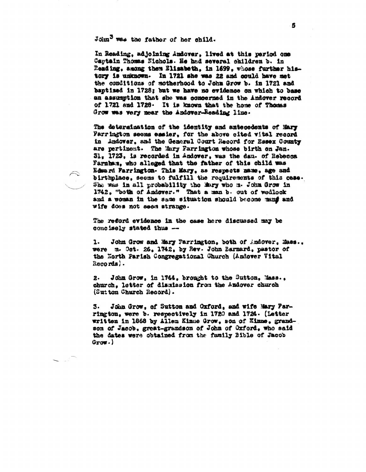John<sup>3</sup> was the father of her child.

In Reading, adjoining Andover, lived at this period one Captain Thomas Fichols. He had several children b. in Reading, among them Elisabeth. in 1699, whose further history is unknown. In 1721 she was 22 and could have met the conditions of motherhood to John Grow b. in 1721 and baptized in 1728; but we have no evidence on which to base an assumption that she was concerned in the Andover record of 1721 and 1728. It is known that the home of Thomas Grow was very near the Andover-Reading line.

The determination of the identity and antecedents of Mary Parrington seems easier, for the above cited vital record in Andover, and the General Court Record for Essex County are pertinent. The Mary Parrington whose birth on Jan. 31. 1723. is recorded in Andover, was the dau. of Rebecca Farnbam, who alleged that the father of this child was Edmard Parrington. This Mary, as respects mame, age and birthplace, seems to fulfill the requirements of this case. She was in all probability the Mary who a. John Grow in 1742, "both of Andever." That a man b. out of wedlook and a woman in the same situation should become mand and wife does not seem strange.

The reford evidence in the case here discussed may be concisely stated thus --

John Grow and Mary Farrington, both of Andover, Mass., 1. were m. Oct. 26, 1742, by Rev. John Barnard, pastor of the North Parish Congregational Church (Andover Vital Records).

John Grow, in 1744, brought to the Sutton, Mass., 2. church, letter of dismission from the Andover church (Sutton Church Record).

John Grow, of Sutton and Oxford, and wife Mary Pars. rington, were b. respectively in 1720 and 1724. (Letter written in 1868 by Allen Kinne Grow, son of Kinne, grandson of Jacob, great-grandson of John of Oxford, who said the dates were obtained from the funily Bible of Jacob  $0$ row.)

Б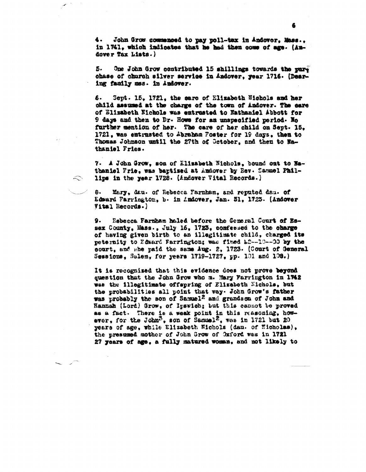4. John Grow commenced to pay poll-tax in Andover. Mass.. in 1741, which indicates that he had then come of age. (Audover Tax Lists.)

One John Grow contributed 15 shillings towards the pure K. chase of church silver service in Andover, year 1716. (Dearing family mes. in Andover.

Sept. 15, 1721, the sare of Elizabeth Nichols and her 6. child assumed at the charge of the town of Andover. The care of Elizabeth Nichols was entrusted to Nathaniel Abbott for 9 days and then to Dr. Hows for an unspecified period. No further mention of her. The care of her child on Sept. 15. 1721, was entrusted to Abraham Foster for 19 days, then to Thomas Johnson until the 27th of Gotober, and then to Nathaniel Fries.

7. A John Grow, son of Elizabeth Nichols, bound out to Hathanisl Frie, was baptized at Andover by Rev. Sammel Phillips in the year 1728. (Andover Vital Records.)

8. Mary, dau. of Rebecca Farnham, and reputed dan. of Edward Farrington, b. in Andover, Jan. 31, 1723. (Andover Vital Records.)

 $\mathbb{R}$ 

Rebecca Farnham haled before the General Court of Essex County, Mass., July 16, 1723, confessed to the charge of having given birth to an illegitimate child, charged its peternity to Edward Farrington; was fixed L2--10--00 by the sourt, and she paid the same Aug. 2, 1723. (Court of General Sessions, Salem, for years 1719-1727, pp. 101 and 108.)

It is recognized that this evidence does not prove beyond question that the John Grow who m. Mary Farrington in 1742 was the illegitimate offspring of Elizabeth Michols, but the probabilities all point that way. John Grow's father was probably the son of Samuel<sup>2</sup> and grands on of John and Hannah (Lord) Grow, of Ipswich; but this cannot be proved as a fact. There is a weak point in this reasoning, however, for the John<sup>3</sup>, son of Samuel<sup>2</sup>, was in 1721 but 20 years of age, while Elizabeth Nichols (dau. of Nicholas), the presumed mother of John Grow of Oxford was in 1721 27 years of age, a fully matured woman, and not likely to

6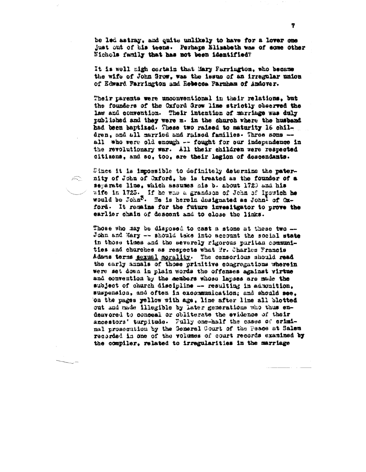be led astray, and quite unlikely to have for a lover one just out of his teens. Perhaps Elisabeth was of some other Nichols family that has not been identified?

It is well nigh certain that Mary Farrington, who became the wife of John Grow, was the issue of an irregular union of Edward Farrington and Rebecca Farnham of Andover.

Their parents were unconventional in their relations, but the founders of the Oxford Grow line strictly observed the law and convention. Their intention of marriage was duly published and they were m. in the church where the husband had been baptized. These two raised to maturity 16 children, and all married and raised families. Three sons -all who were old enough -- fought for our independence in the revolutionary war. All their children were respected citizens, and so, too, are their legion of descendants.

Since it is impossible to definitely determine the paternity of John of Oxford, he is treated as the founder of a separate line, which assumes his b. about 1720 and his wife in 1723. If he was a grandson of John of Ipswich he would be John<sup>3</sup>. He is herein designated as John<sup>1</sup> of Oxford. It resains for the future investigator to prove the earlier chain of descent and to close the links.

 $\widehat{\leftarrow}$ 

Those who may be disposed to cast a stone at these two -John and Mary -- should take into account the social state in those times and the severely rigorous puritan communities and charches as respects what Mr. Charles Francis Adsms terms sexual morality. The consorious should read the early annals of those primitive congregations wherein were set down in plain words the offenses against virtue and convention by the members whose lapses are made the subject of church discipline -- resulting in admonition. suspension, and often in excommunication; and should see, on the pages yellow with age, line after line all blotted out and made illegible by later generations who thus endeavored to conceal or obliterate the evidence of their ancestors' turpltude. Fully one-half the cases of criminal prosecution by the General Court of the Peace at Salem recorded in one of the volumes of court records examined by the compiler, related to irregularities in the marriage

7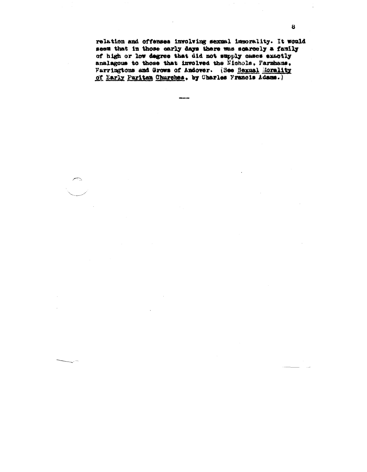relation and offenses involving sexual immorality. It would seem that in those early days there was scarcely a family of high or low degree that did not supply cases exactly analagous to those that involved the Nichols, Farmhams, Farringtons and Grows of Andover. (See Sexual Morality of Early Puritan Churches, by Charles Francis Adams.)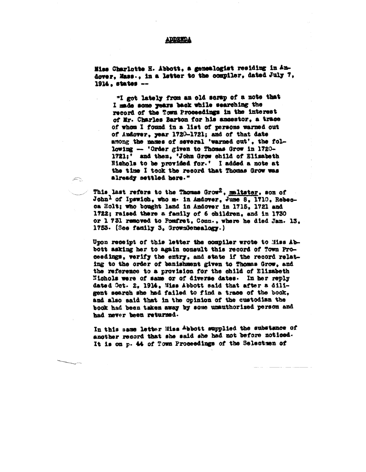## ADDETDA

Hiss Charlotte H. Abbott. a genealogist residing in Andover, Mass., in a letter to the compiler, dated July 7. 1914, states --

"I got lately from an old serap of a note that I made some years back while searching the record of the Town Proceedings in the interest of Mr. Charles Barton for his ancestor, a trace of whom I found in a list of persons warned out of Andover, year 1720-1721; and of that date among the masses of several 'warned out', the following -- 'Order given to Thomas Grow in 1720-1721:' and then, 'John Grow shild of Elisabeth Nichols to be provided for.' I added a note at the time I took the record that Thomas Grow was already settled here."

This last refers to the Thomas Grow<sup>2</sup>, maltster, som of John<sup>1</sup> of Ipswich, who m. in Andover, June 8, 1710, Rebecca Holt; who bought land in Andover in 1715. 1721 and 1722; raised there a family of 6 children, and in 1730 or 1 731 removed to Pomfret, Conn., where he died Jan. 13, 1753. (See family 3. GrownGenealogy.)

 $\approx$ 

Upon receipt of this letter the compiler wrote to Miss Abbott asking her to again consult this record of Town Proceedings, verify the entry, and state if the record relating to the order of banishment given to Thomas Grow, and the reference to a provision for the child of Elizabeth Nichols were of same or of diverse dates. In her reply dated Oct. 2, 1914, Miss Abbott said that after a diligent search she had failed to find a trace of the book, and also said that in the opinion of the custodian the book had been taken away by some unauthorized person and had never been returned.

In this same letter Miss Abbott supplied the substance of another record that she said she had not before noticed. It is on p. 44 of Town Proceedings of the Selectuen of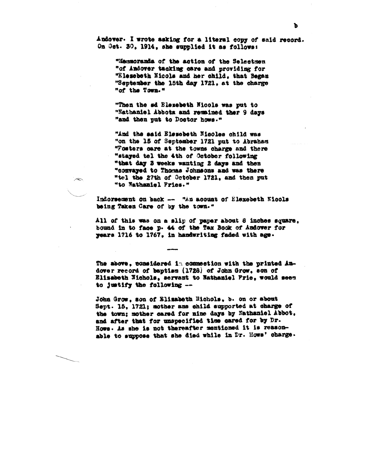Andover. I wrote asking for a literal copy of said record. On Oct. 30, 1914, she supplied it as follows:

"Memmoranda of the action of the Selectmen "of Andover tacking care and providing for "Elessbeth Nicols and her child. that Began "September the 15th day 1721, at the charge "of the Town."

"Then the sd Elezebeth Micols was put to "Nathaniel Abbota and remained ther 9 days "and then put to Doctor hows."

"And the said Elescheth Nicoles child was "on the 15 of September 1721 put to Abraham "Fosters care at the towns charge and there "stayed tel the 4th of October following "that day 3 weeks wanting 2 days and then "convayed to Thomas Johnsons and was there "tel the 27th of October 1721, and then put "to Nathaniel Fries."

 $\sim$ 

Indorsement on back -- "An acount of Elexebeth Kicols being Taken Care of by the town."

All of this was on a slip of paper about 8 inches square, bound in to face p. 44 of the Tax Book of Andover for years 1716 to 1767, in handwriting faded with age.

The above, considered in commection with the printed Andover record of baptism (1728) of John Grow, son of Elizabeth Wichols, servant to Mathaniel Prie, would seem to justify the following --

John Grow, son of Elizabeth Michols, b. on or about Sept. 15, 1721; mother ans child supported at charge of the town; mother cared for nine days by Nathaniel Abbot. and after that for unspecified time cared for by Dr. Hows. As she is not thereafter mentioned it is reasonable to suppose that she died while in Dr. Hows' charge.

Ъ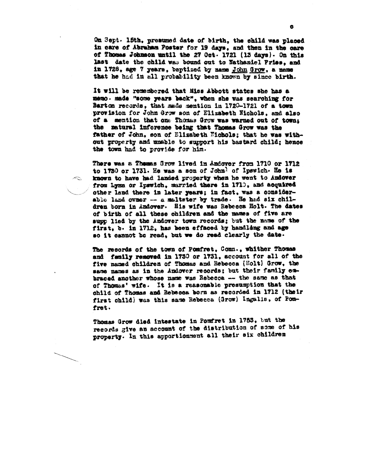On Sept. 15th, presumed date of birth, the child was placed in care of Abraham Poster for 19 days, and then in the care of Thomas Johnson until the 27 Oct. 1721 (13 days). On this last date the child was bound out to Nathaniel Pries, and in 1726, age 7 years, baptized by name John Grow, a name that he had in all probability been known by since birth.

It will be remembered that Miss Abbott states she has a memo. made "some years back", when she was searching for Barton records, that made mention in 1720-1721 of a town provision for John Grow son of Elizabeth Nichols, and also of a mention that one Thomas Grow was warned out of town: the matural inforence being that Thomas Grow was the father of John, son of Elisabeth Nichols; that he was without property and unable to support his bastard child; hence the town had to provide for him.

There was a Themas Srow lived in Andover from 1710 or 1712 to 1750 or 1731. He was a son of John<sup>1</sup> of Ipswich. He is known to have had landed property when he went to Audover from Lynn or Ipswich, married there in 1710, and acquired other land there in later years; in fact, was a considerable land owner -- a malteter by trade. He had six children born in Andover. His wife was Rebecca Holt. The dates of birth of all these children and the mames of five are supp lied by the Andover town records; but the name of the first, b. in 1712, has been effaced by handling and age so it cannot be read, but we do read clearly the date.

 $\sim$ 

The records of the town of Pomfret, Conn., whither Thomas and family removed in 1730 or 1731, account for all of the five named children of Thomas and Rebecca (Holt) Grow, the same names as in the Andover records; but their family embraced another whose name was Rebecca -- the same as that of Thomas' wife. It is a reasonable presumption that the child of Thomas and Rebecca born as recorded in 1712 (their first child) was this same Rebecca (Grow) Ingalis, of Pomfret.

Thomas Grow died intestate in Pomfret in 1753, but the records give an account of the distribution of some of his property. In this apportionment all their six children

Ğ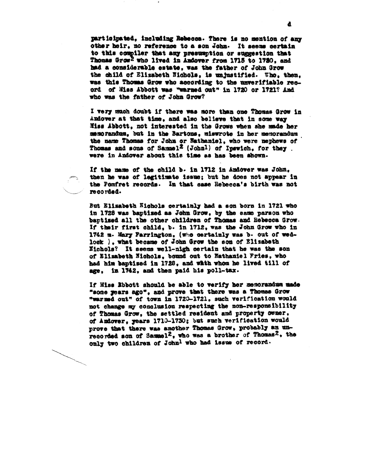participated. including Rebecca. There is no mention of any other heir, no reference to a son John. It seems certain to this compiler that any presumption or suggestion that Thomas Grow<sup>2</sup> who lived in Andover from 1715 to 1720, and had a considerable estate. was the father of John Grow the child of Elizabeth Nichols, is unjustified. Who, then, was this Thomas Grow who according to the unverifiable record of Miss Abbott was "warned out" in 1720 or 1721? And who was the father of John Grow?

I very much doubt if there was more than one Thomas Grow in Andover at that time, and also believe that in some way Miss Abbott, not interested in the Grows when she made her memorandum, but in the Bartons, miswrote in her memorandum the name Thomas for John or Nathaniel, who were nephews of Thomas and sons of Samuel<sup>2</sup> (John<sup>1</sup>) of Ipswich, for they. were in Andover about this time as has been shown.

If the mame of the child b. in 1712 in Andover was John. then he was of legitimate issue; but he does not appear in the Pomfret records. In that case Rebecca's birth was not recorded.

But Elizabeth Nichols certainly had a son born in 1721 who in 1728 was baptized as John Grow, by the same parson who baptimed all the other children of Thomas and Rebecca Grow. If their first child, b. in 1712, was the John Grow who in 1742 m. Mary Farrington, (who certainly was b. out of wedlock ), what became of John Grow the son of Elizabeth Eichols? It seems well-nigh certain that he was the son of Elizabeth Nichols, bound out to Nathaniel Fries, who had him baptised in 1728, and whih whom he lived till of age, in 1742, and then paid his poll-tax.

If Hiss Rbbott should be able to verify her memorandum made "some years ago", and prove that there was a Thomas Grow "warmed out" of town in 1720-1721, such verification would not change my conclusion respecting the non-responsibility of Thomas Grow, the settled resident and property owner. of Andover, years 1710-1730; but such verification would prove that there was another Thomas Grow, probably an unrecorded son of Sammel<sup>2</sup>, who was a brother of Thomas<sup>2</sup>, the only two children of John<sup>l</sup> who had issue of record.

d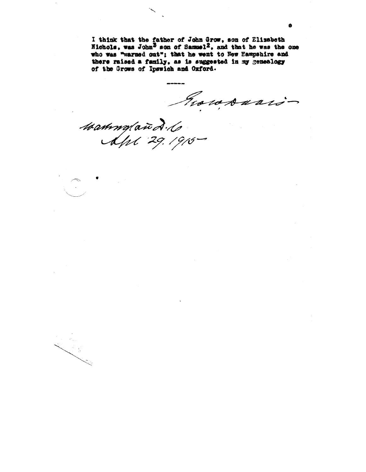I think that the father of John Grow, son of Elizabeth Nichols, was John<sup>3</sup> son of Samuel<sup>2</sup>, and that he was the one who was "warned out"; that he went to New Hampshire and there raised a family, as is suggested in my genealogy of the Grows of Ipswich and Oxford.

Provosario

Mammyland. 10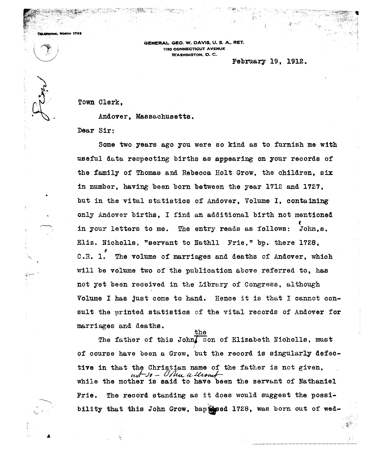**GENERAL** GEO. W. DAVIS, U. S. A., RET. 1150 CONNECTICUT AVENUE WASHINGTON, D. C.

## February 19, 1912.

Town Olerk,

 $\sqrt{2}$ 

 $\left( \begin{array}{c} n \\ n \end{array} \right)$ 

**NORTH 1783** 

 $\setminus$ 

Andover, Massachusetts.

Dear Sir:

Some two years ago you were so kind as to furnish me with useful data respecting births as appearing on your records of the family of Thomas and Rebecca Holt Grow, the children, six in number, having been born between the year 1712 and 1727, but in the vital statistics of Andover, Volume I, containing only Andover births, I find an additional birth not mentioned ( in your letters to me. The entry reads as follows: John,s. Eliz. Nicholls, "servant to Nathll Frie," bp. there 1728, ~ O.R. 1. The volume of marriages and deaths of Andover, which will be volume two of the publication above referred to, has not yet been received in the Library of Congress, although Volume I has just come to hand. Hence it is that I cannot consult the printed statistics of the vital records of Andover for marriages and deaths.

the The father of this John $\sqrt{s}$  son of Elizabeth Nicholls, must ( of course have been a Grow, but the record is singularly defective in that the Christian name of the father is not given,<br> $mf\rightarrow\rho$  - Using a liver of while the mother is said to have been the servant of Nathaniel Frie. The record standing as it does would suggest the possibility that this John Grow, baptised 1728, was born out of wed-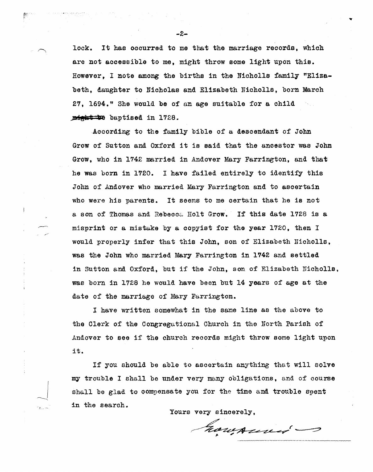lock. It has occurred to me that the marriage records, which are not aocessible to me, might throw some light upon this. However, I note among the births in the Nicholls family "Elizabeth, daughter to Nicholas and Elizabeth Nicholls, born March 27, 1694." She would be of an age suitable for a child **JBieht 'e** baptised in 1728.

According to the family bible of a descendant of John Grow of Sutton and Oxford it is said that the ancestor was John Grow, who in 1742 married in Andover Mary Farrington, and that he was born in 1720. I have failed entirely to identify this John of Andover who married Mary Farrington and to ascertain who were his parents. It seems to me certain that he is not a son of Thomas and Rebecca Holt Grow. If this date 1728 is a misprint or a mistake by a copyist for the year 1720, then I would properly infer that this John, son of Elizabeth Nicholls, was the John who married Mary Farrington in 1742 and settled in sutton and Oxford, but if the John, son of Elizabeth Nicholls, was born in 1728 he would have been but 14 years of age at the date of the marriage of Mary Farrington.

I have written somewhat in the same line as the above to the Clerk of the Congregational Church in the North Parish of Andover to see if the church records might throw some light upon it.

If you should be able to ascertain anything that will solve mw trouble I shall be under very many obligations, and of course shall be glad to compensate you for the time and trouble spent in the search.

Yours very sincerely,

howarned -

-2-

~. -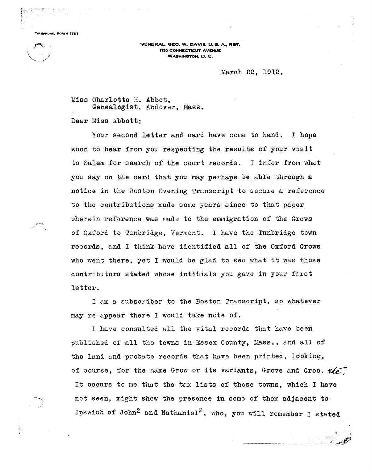**TaL.PHONK, NORTH 1783** 

**GENERAL GEO. W. DAVIS, U. S. A., RET.** 1150 CONNECTICUT AVENUE WASHINGTON, D. C.

## Maroh 22, 1912.

Miss Charlotte H. Abbot, Genealogist, Andover, Mass.

Dear Miss Abbott:

Your seoond letter and oard have oome to hand. I hope soon to hear from you respeoting the results of your visit to Salem for searoh of the oourt reoords. I infer from what you say on the oard that you may perhaps be able through a notioe in the Boston Evening Transoript to seoure a referenoe to the oontributions made some years sinoe to that paper wherein reference was made to the emmigration of the Grows of Oxford to Tunbridge, Vermont. I have the Tunbridge town records, and I think have identified all of the Oxford Grows who went there, yet I would be glad to sec what it was those contributors stated whose intitials you gave in your first letter.

I am a subscriber to the Boston Transcript, so whatever may re-appear there I would take note of.

I have consulted all the vital records that have been published of all the towns in Essex County, Mass., and all of the land and probate records that have been printed, looking, of course, for the name Grow or its variants, Grove and Groo.  $\mathcal{U}$ It oocurs to me that the tax lists of those towns, which I have not seen, might show the presence in some of them adjacent to. Ipswich of John<sup>2</sup> and Nathaniel<sup>2</sup>, who, you will remember I stated